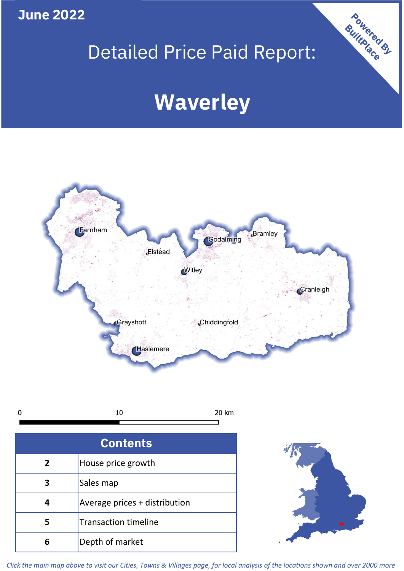**June 2022**

# Detailed Price Paid Report:

# **Waverley**



| 0 | 20 km |
|---|-------|
|   |       |

| <b>Contents</b> |                               |  |  |
|-----------------|-------------------------------|--|--|
| 2               | House price growth            |  |  |
|                 | Sales map                     |  |  |
|                 | Average prices + distribution |  |  |
| 5               | <b>Transaction timeline</b>   |  |  |
| h               | Depth of market               |  |  |



Powered By

*Click the main map above to visit our Cities, Towns & Villages page, for local analysis of the locations shown and over 2000 more*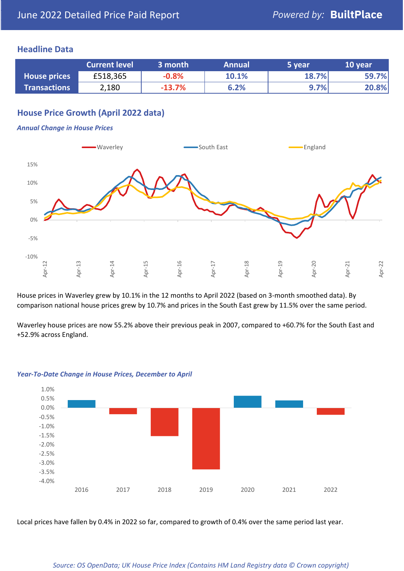#### **Headline Data**

|                     | <b>Current level</b> | 3 month  | <b>Annual</b> | '5 year. | 10 year |
|---------------------|----------------------|----------|---------------|----------|---------|
| <b>House prices</b> | £518,365             | $-0.8%$  | 10.1%         | 18.7%    | 59.7%   |
| <b>Transactions</b> | 2,180                | $-13.7%$ | 6.2%          | $9.7\%$  | 20.8%   |

# **House Price Growth (April 2022 data)**

#### *Annual Change in House Prices*



House prices in Waverley grew by 10.1% in the 12 months to April 2022 (based on 3-month smoothed data). By comparison national house prices grew by 10.7% and prices in the South East grew by 11.5% over the same period.

Waverley house prices are now 55.2% above their previous peak in 2007, compared to +60.7% for the South East and +52.9% across England.



#### *Year-To-Date Change in House Prices, December to April*

Local prices have fallen by 0.4% in 2022 so far, compared to growth of 0.4% over the same period last year.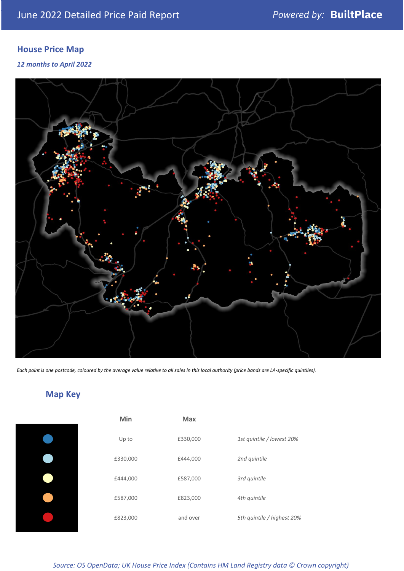# **House Price Map**

*12 months to April 2022*



*Each point is one postcode, coloured by the average value relative to all sales in this local authority (price bands are LA-specific quintiles).*

# **Map Key**

| Min      |
|----------|
| Up to    |
| £330,000 |
| £444,000 |
| £587,000 |
| £823,000 |
|          |

| Min      | Max      |                            |
|----------|----------|----------------------------|
| Up to    | £330,000 | 1st quintile / lowest 20%  |
| £330,000 | £444,000 | 2nd quintile               |
| £444,000 | £587,000 | 3rd quintile               |
| £587,000 | £823,000 | 4th quintile               |
| £823,000 | and over | 5th quintile / highest 20% |

*Source: OS OpenData; UK House Price Index (Contains HM Land Registry data © Crown copyright)*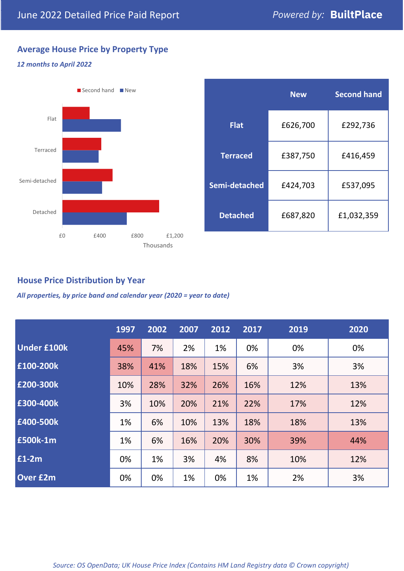# **Average House Price by Property Type**

#### *12 months to April 2022*



|                 | <b>New</b> | <b>Second hand</b> |  |  |
|-----------------|------------|--------------------|--|--|
| <b>Flat</b>     | £626,700   | £292,736           |  |  |
| <b>Terraced</b> | £387,750   | £416,459           |  |  |
| Semi-detached   | £424,703   | £537,095           |  |  |
| <b>Detached</b> | £687,820   | £1,032,359         |  |  |

## **House Price Distribution by Year**

*All properties, by price band and calendar year (2020 = year to date)*

|                    | 1997 | 2002 | 2007 | 2012 | 2017 | 2019 | 2020 |
|--------------------|------|------|------|------|------|------|------|
| <b>Under £100k</b> | 45%  | 7%   | 2%   | 1%   | 0%   | 0%   | 0%   |
| £100-200k          | 38%  | 41%  | 18%  | 15%  | 6%   | 3%   | 3%   |
| E200-300k          | 10%  | 28%  | 32%  | 26%  | 16%  | 12%  | 13%  |
| £300-400k          | 3%   | 10%  | 20%  | 21%  | 22%  | 17%  | 12%  |
| £400-500k          | 1%   | 6%   | 10%  | 13%  | 18%  | 18%  | 13%  |
| <b>£500k-1m</b>    | 1%   | 6%   | 16%  | 20%  | 30%  | 39%  | 44%  |
| £1-2m              | 0%   | 1%   | 3%   | 4%   | 8%   | 10%  | 12%  |
| <b>Over £2m</b>    | 0%   | 0%   | 1%   | 0%   | 1%   | 2%   | 3%   |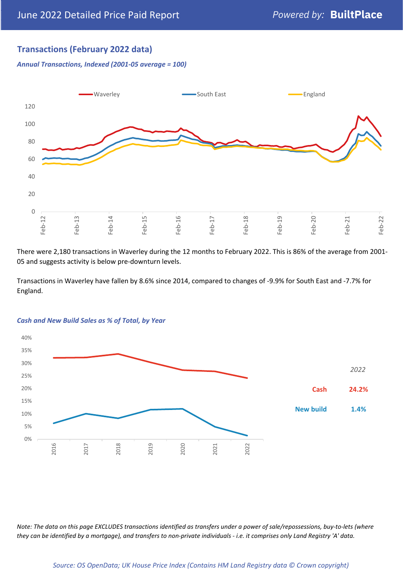## **Transactions (February 2022 data)**

*Annual Transactions, Indexed (2001-05 average = 100)*



There were 2,180 transactions in Waverley during the 12 months to February 2022. This is 86% of the average from 2001- 05 and suggests activity is below pre-downturn levels.

Transactions in Waverley have fallen by 8.6% since 2014, compared to changes of -9.9% for South East and -7.7% for England.



#### *Cash and New Build Sales as % of Total, by Year*

*Note: The data on this page EXCLUDES transactions identified as transfers under a power of sale/repossessions, buy-to-lets (where they can be identified by a mortgage), and transfers to non-private individuals - i.e. it comprises only Land Registry 'A' data.*